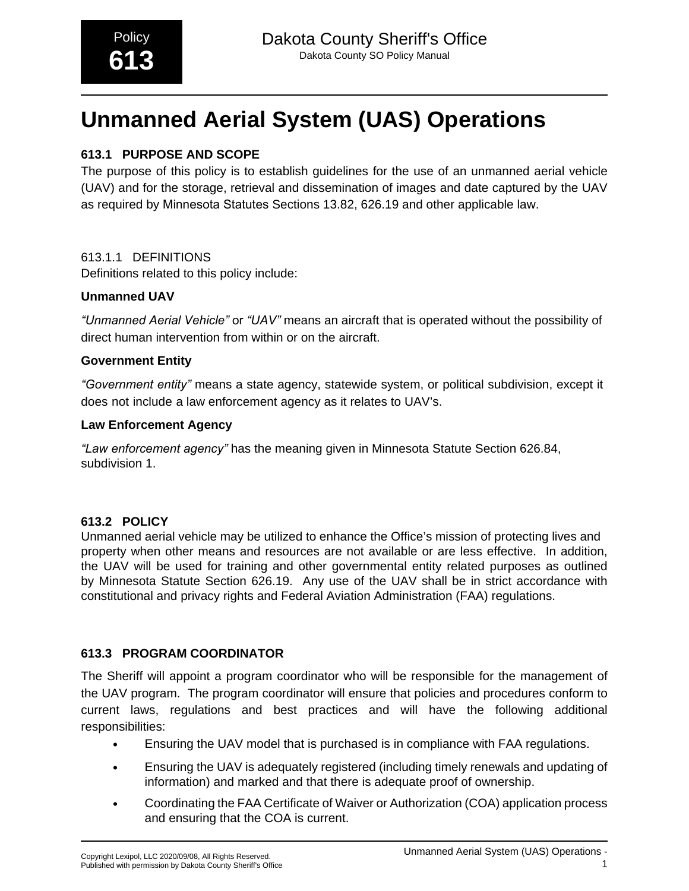# **Unmanned Aerial System (UAS) Operations**

# **613.1 PURPOSE AND SCOPE**

The purpose of this policy is to establish guidelines for the use of an unmanned aerial vehicle (UAV) and for the storage, retrieval and dissemination of images and date captured by the UAV as required by Minnesota Statutes Sections 13.82, 626.19 and other applicable law.

# 613.1.1 DEFINITIONS

Definitions related to this policy include:

## **Unmanned UAV**

*"Unmanned Aerial Vehicle"* or *"UAV"* means an aircraft that is operated without the possibility of direct human intervention from within or on the aircraft.

## **Government Entity**

*"Government entity"* means a state agency, statewide system, or political subdivision, except it does not include a law enforcement agency as it relates to UAV's.

#### **Law Enforcement Agency**

*"Law enforcement agency"* has the meaning given in Minnesota Statute Section 626.84, subdivision 1.

# **613.2 POLICY**

Unmanned aerial vehicle may be utilized to enhance the Office's mission of protecting lives and property when other means and resources are not available or are less effective. In addition, the UAV will be used for training and other governmental entity related purposes as outlined by Minnesota Statute Section 626.19. Any use of the UAV shall be in strict accordance with constitutional and privacy rights and Federal Aviation Administration (FAA) regulations.

# **613.3 PROGRAM COORDINATOR**

The Sheriff will appoint a program coordinator who will be responsible for the management of the UAV program. The program coordinator will ensure that policies and procedures conform to current laws, regulations and best practices and will have the following additional responsibilities:

- Ensuring the UAV model that is purchased is in compliance with FAA regulations.
- Ensuring the UAV is adequately registered (including timely renewals and updating of information) and marked and that there is adequate proof of ownership.
- Coordinating the FAA Certificate of Waiver or Authorization (COA) application process and ensuring that the COA is current.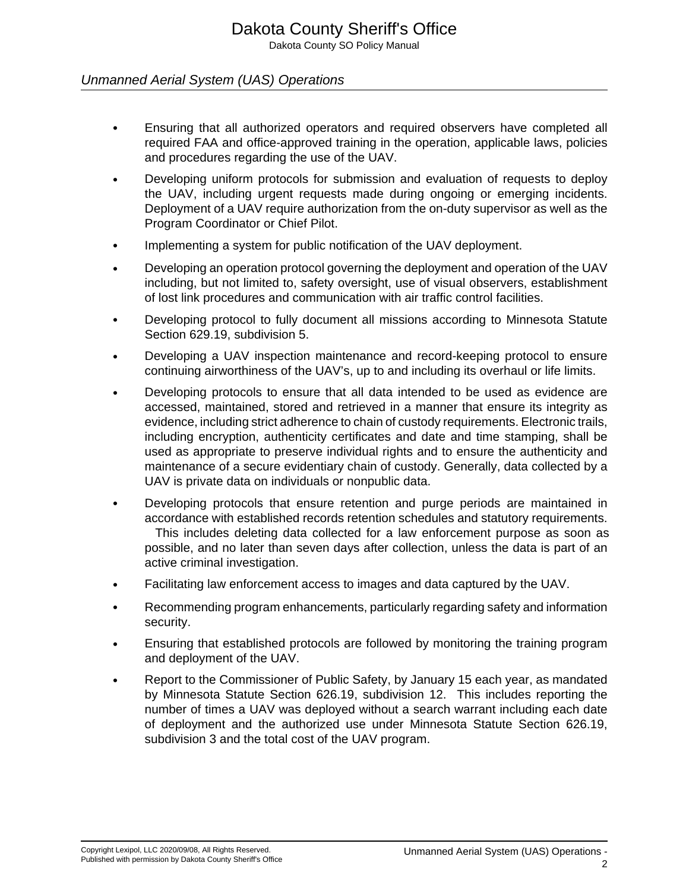# Unmanned Aerial System (UAS) Operations

- Ensuring that all authorized operators and required observers have completed all required FAA and office-approved training in the operation, applicable laws, policies and procedures regarding the use of the UAV.
- Developing uniform protocols for submission and evaluation of requests to deploy the UAV, including urgent requests made during ongoing or emerging incidents. Deployment of a UAV require authorization from the on-duty supervisor as well as the Program Coordinator or Chief Pilot.
- Implementing a system for public notification of the UAV deployment.
- Developing an operation protocol governing the deployment and operation of the UAV including, but not limited to, safety oversight, use of visual observers, establishment of lost link procedures and communication with air traffic control facilities.
- Developing protocol to fully document all missions according to Minnesota Statute Section 629.19, subdivision 5.
- Developing a UAV inspection maintenance and record-keeping protocol to ensure continuing airworthiness of the UAV's, up to and including its overhaul or life limits.
- Developing protocols to ensure that all data intended to be used as evidence are accessed, maintained, stored and retrieved in a manner that ensure its integrity as evidence, including strict adherence to chain of custody requirements. Electronic trails, including encryption, authenticity certificates and date and time stamping, shall be used as appropriate to preserve individual rights and to ensure the authenticity and maintenance of a secure evidentiary chain of custody. Generally, data collected by a UAV is private data on individuals or nonpublic data.
- Developing protocols that ensure retention and purge periods are maintained in accordance with established records retention schedules and statutory requirements. This includes deleting data collected for a law enforcement purpose as soon as possible, and no later than seven days after collection, unless the data is part of an active criminal investigation.
- Facilitating law enforcement access to images and data captured by the UAV.
- Recommending program enhancements, particularly regarding safety and information security.
- Ensuring that established protocols are followed by monitoring the training program and deployment of the UAV.
- Report to the Commissioner of Public Safety, by January 15 each year, as mandated by Minnesota Statute Section 626.19, subdivision 12. This includes reporting the number of times a UAV was deployed without a search warrant including each date of deployment and the authorized use under Minnesota Statute Section 626.19, subdivision 3 and the total cost of the UAV program.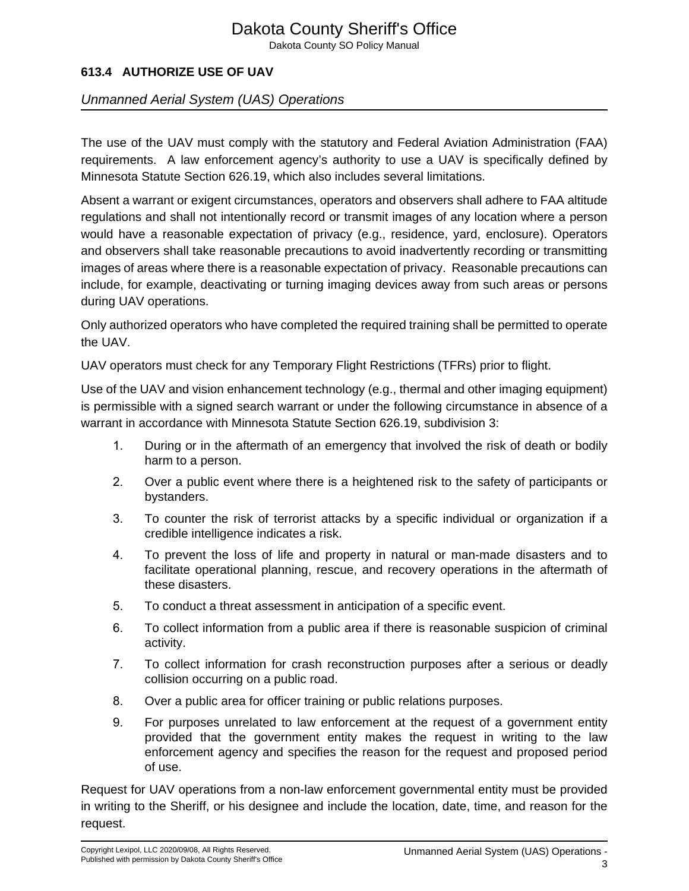# Dakota County Sheriff's Office

Dakota County SO Policy Manual

# **613.4 AUTHORIZE USE OF UAV**

## Unmanned Aerial System (UAS) Operations

The use of the UAV must comply with the statutory and Federal Aviation Administration (FAA) requirements. A law enforcement agency's authority to use a UAV is specifically defined by Minnesota Statute Section 626.19, which also includes several limitations.

Absent a warrant or exigent circumstances, operators and observers shall adhere to FAA altitude regulations and shall not intentionally record or transmit images of any location where a person would have a reasonable expectation of privacy (e.g., residence, yard, enclosure). Operators and observers shall take reasonable precautions to avoid inadvertently recording or transmitting images of areas where there is a reasonable expectation of privacy. Reasonable precautions can include, for example, deactivating or turning imaging devices away from such areas or persons during UAV operations.

Only authorized operators who have completed the required training shall be permitted to operate the UAV.

UAV operators must check for any Temporary Flight Restrictions (TFRs) prior to flight.

Use of the UAV and vision enhancement technology (e.g., thermal and other imaging equipment) is permissible with a signed search warrant or under the following circumstance in absence of a warrant in accordance with Minnesota Statute Section 626.19, subdivision 3:

- 1. During or in the aftermath of an emergency that involved the risk of death or bodily harm to a person.
- 2. Over a public event where there is a heightened risk to the safety of participants or bystanders.
- 3. To counter the risk of terrorist attacks by a specific individual or organization if a credible intelligence indicates a risk.
- 4. To prevent the loss of life and property in natural or man-made disasters and to facilitate operational planning, rescue, and recovery operations in the aftermath of these disasters.
- 5. To conduct a threat assessment in anticipation of a specific event.
- 6. To collect information from a public area if there is reasonable suspicion of criminal activity.
- 7. To collect information for crash reconstruction purposes after a serious or deadly collision occurring on a public road.
- 8. Over a public area for officer training or public relations purposes.
- 9. For purposes unrelated to law enforcement at the request of a government entity provided that the government entity makes the request in writing to the law enforcement agency and specifies the reason for the request and proposed period of use.

Request for UAV operations from a non-law enforcement governmental entity must be provided in writing to the Sheriff, or his designee and include the location, date, time, and reason for the request.